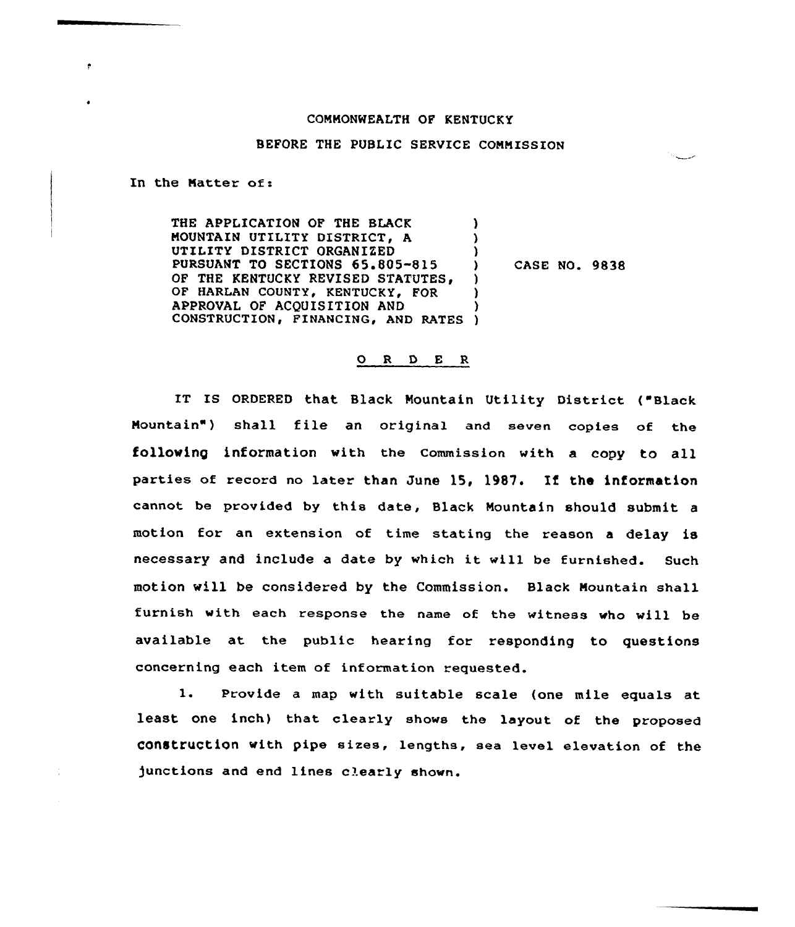## COMMONWEALTH OF KENTUCKY

## BEFORE THE PUBLIC SERVICE COMMISSION

In the Natter of:

THE APPLICATION OF THE BLACK MOUNTAIN UTILITY DISTRICT, A UTILITY DISTRICT ORGANIZED PURSUANT TO SECTIONS 65.805-815 OF THE KENTUCKY REVISED STATUTES, OF HARLAN COUNTY, KENTUCKY, FOR APPROVAL OF ACQUISITION AND CONSTRUCTION, FINANCING, AND RATES ) ) ) ) CASE NO. 9838 ) ) ) )

## O R D E R

IT IS ORDERED that Black Mountain Utility District { Black Mountain") shall file an original and seven copies of the following information with the Commission with a copy to all parties of record no later than June 15, 1987. If the information cannot be provided by this date, Black Mountain should submit a motion for an extension of time stating the reason <sup>a</sup> delay is necessary and include <sup>a</sup> date by which it will be furnished. Such motion will be considered by the Commission. Black Mountain shall furnish with each response the name of the witness who vill be available at the public hearing for responding to questions concerning each item of information requested.

1. Provide <sup>a</sup> map with suitable scale {one mile equals at least one inch) that clearly shows the layout of the proposed construction with pipe sizes, lengths, sea level elevation of the )unctions and end lines clearly shown.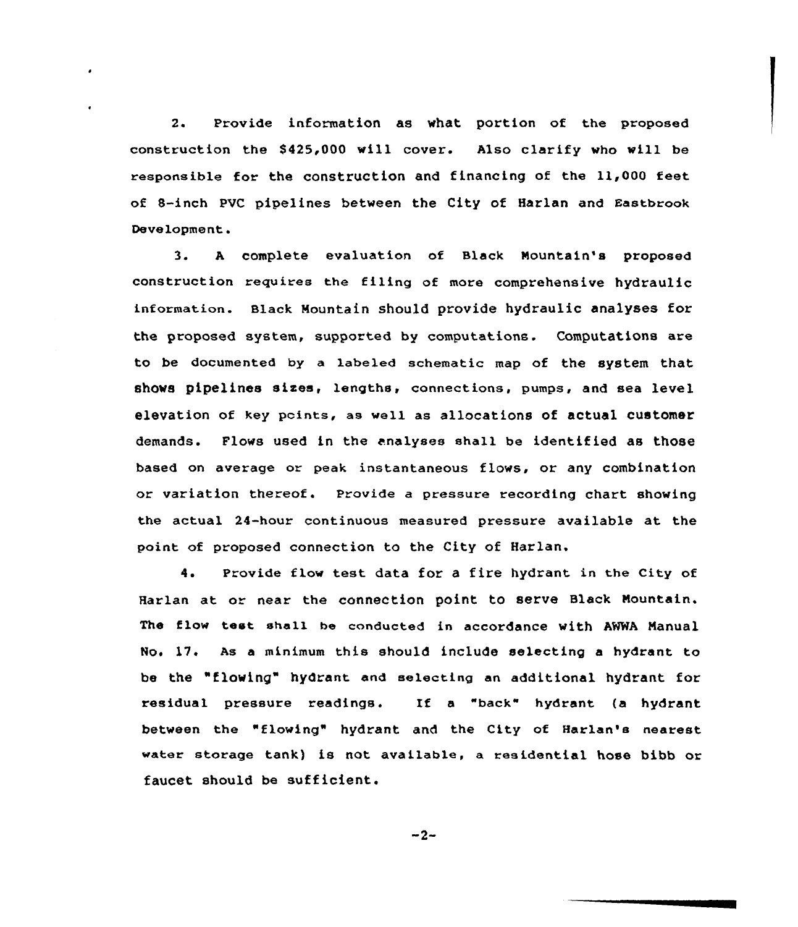2. Provide information as what portion of the proposed construction the \$425,000 will cover. Also clarify who will be responsible for the construction and financing of the 11,000 feet of 8-inch PVC pipelines between the City of Harlan and Eastbrook Development.

3. <sup>A</sup> complete evaluation of Slack Mountain's proposed construction requires the filing of more comprehensive hydraulic information. Black Mountain should provide hydraulic analyses for the proposed system, supported by computations. Computations are to be documented by a labeled schematic map of the system that shows pipelines sizes, lengths, connections, pumps, and sea level elevation of key points, as well as allocations of actual customer demands. Flows used in the analyses shall be identified as those based on average or peak instantaneous flows, or any combination or variation thereof. Provide a pressure recording chart showing the actual. 24-hour continuous measured pressure available at the point of proposed connection to the City of Harlan.

4. Provide flow test data for a fire hydrant in the City of Harlan at or near the connection point to serve Slack Mountain. The flow test shell be conducted in accordance with ANNA Manual No. 17. As a minimum this should include selecting a hydrant to be the "flowing" hydrant and selecting an additional hydrant for residual pressure readings. If a "back" hydrant (a hydrant between the "flowing" hydrant and the City of Harlan's nearest water storage tank) is not available, a residential hose bibb or faucet should be sufficient.

 $-2-$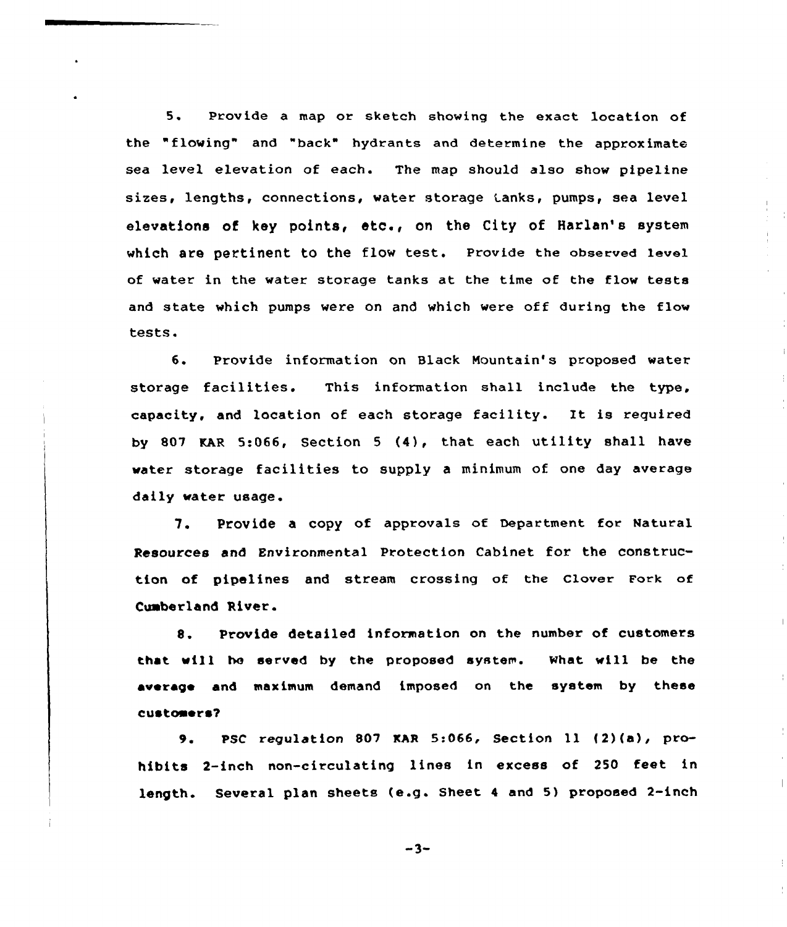5. Provide a map or sketch showing the exact location of the "flowing" and "back" hydrants and determine the approximate sea level elevation of each. The map should also show pipeline sizes, lengths, connections, water storage Lanks, pumps, sea level elevations of key points, etc., on the City of Harlan's system which are pertinent to the flow test. Provide the observed level of water in the water storage tanks at the time of the flow tests and state which pumps were on and which were off during the flow tests.

6. Provide information on Black Mountain's proposed water storage facilities. This information shall include the type, capacity, and location of each storage facility. Xt is xequired by 807 KAR 5:066, Section <sup>5</sup> (4), that each utility shall have water storage facilities to supply <sup>a</sup> minimum of one day average daily water usage.

7. Provide <sup>a</sup> copy of approvals of Department for Natural Resouxces and Environmental Protection Cabinet fox'he construction of pipelines and stream crossing of the Clover Fork of Cumberland River.

8. Provide detailed information on the number of customers that will he served by the proposed system. What will be the average and maximum demand imposed on the system by these customers?

 $\pm$ 

 $\frac{1}{4}$ 

 $\overline{\phantom{a}}$ 

9. PSC regulation <sup>807</sup> EAR 5:066, Section ll (2)(a), prohibits 2-inch non-circulating lines in excess of 250 feet in length. Several plan sheets (e.g. Sheet <sup>4</sup> and 5) proposed 2-inch

 $-3-$